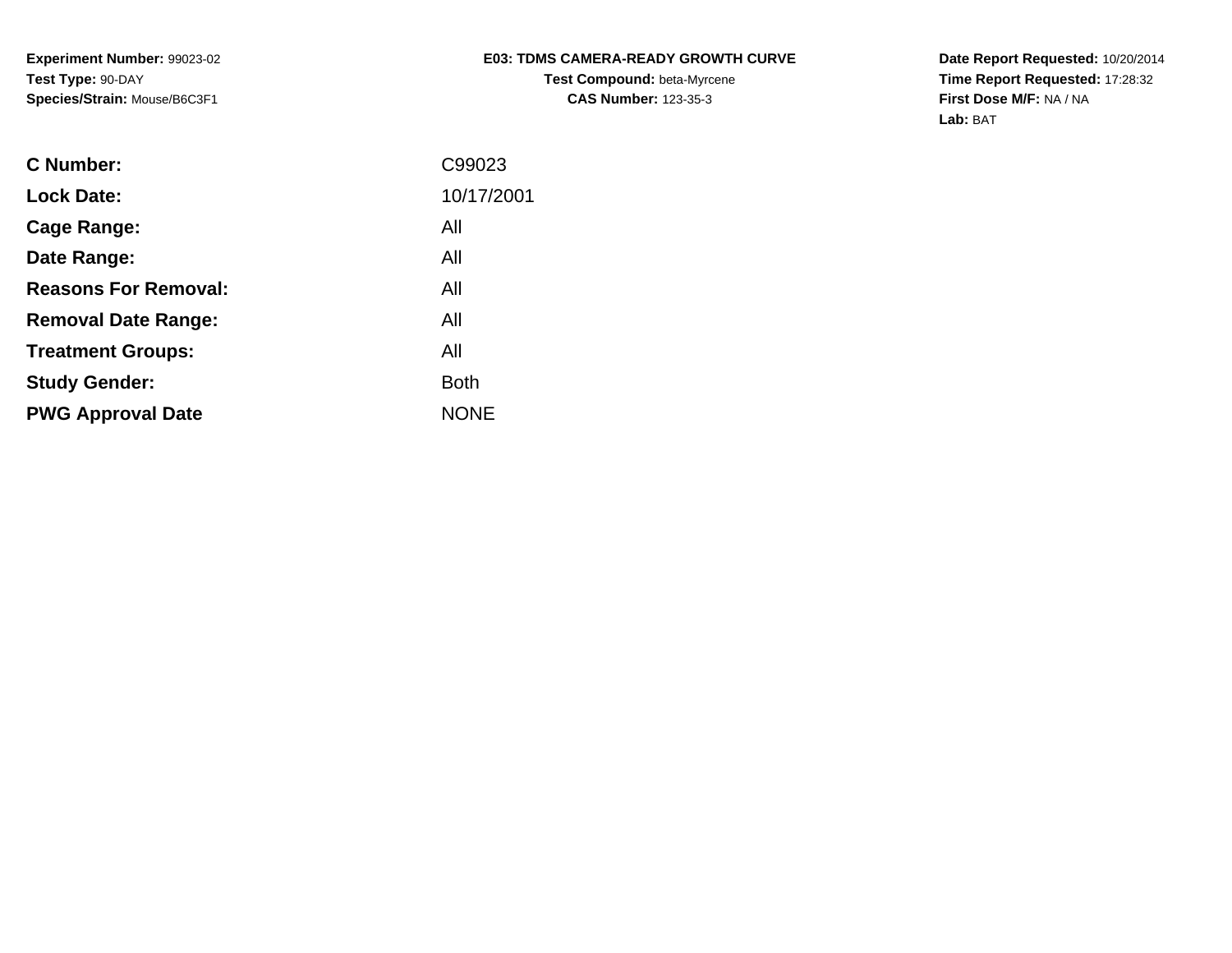## **E03: TDMS CAMERA-READY GROWTH CURVETest Compound:** beta-Myrcene**CAS Number:** 123-35-3

**Date Report Requested:** 10/20/2014 **Time Report Requested:** 17:28:32**First Dose M/F:** NA / NA**Lab:** BAT

| <b>C</b> Number:            | C99023      |
|-----------------------------|-------------|
| <b>Lock Date:</b>           | 10/17/2001  |
| Cage Range:                 | All         |
| Date Range:                 | All         |
| <b>Reasons For Removal:</b> | All         |
| <b>Removal Date Range:</b>  | All         |
| <b>Treatment Groups:</b>    | All         |
| <b>Study Gender:</b>        | <b>Both</b> |
| <b>PWG Approval Date</b>    | <b>NONE</b> |
|                             |             |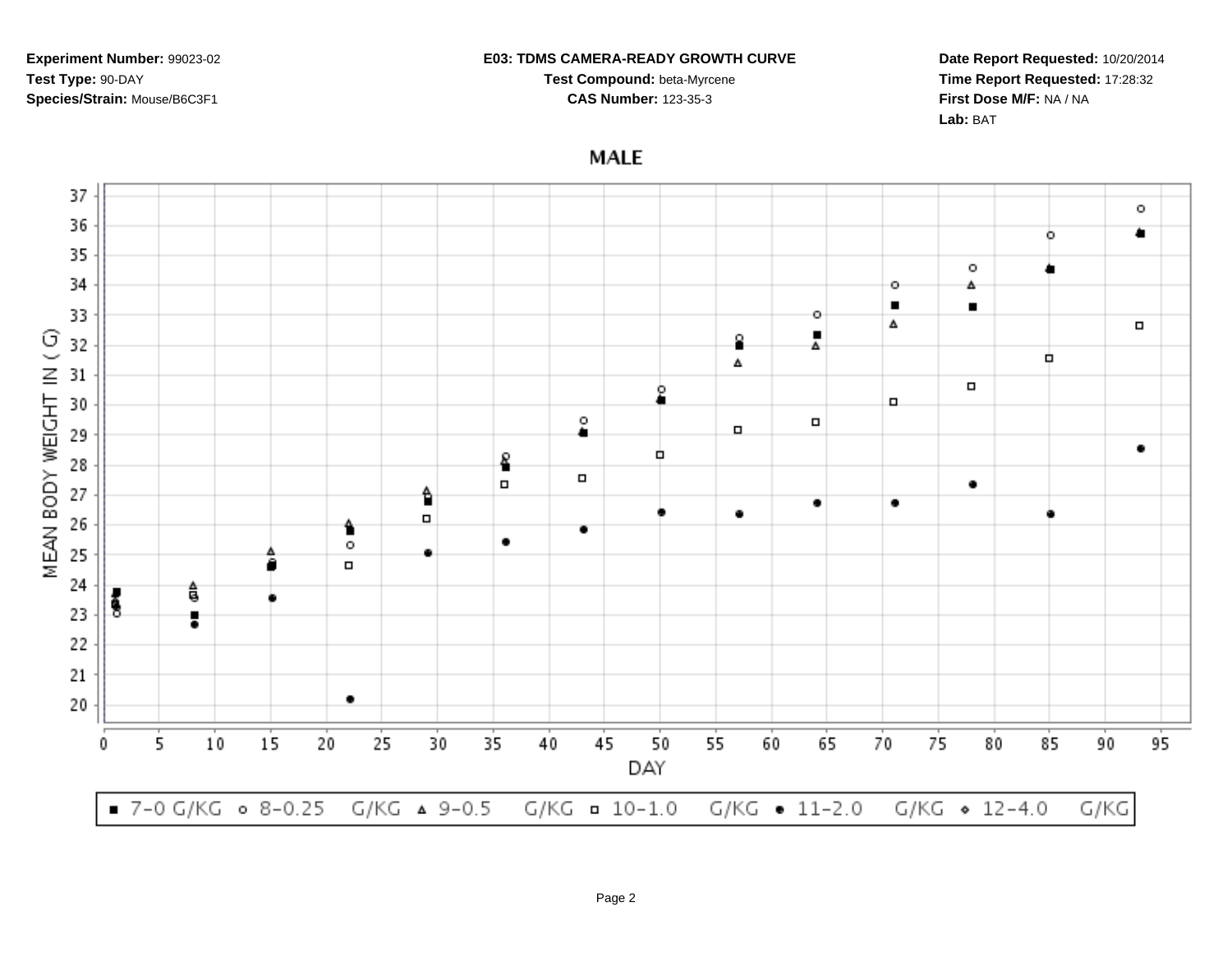#### **E03: TDMS CAMERA-READY GROWTH CURVE**

**Test Compound:** beta-Myrcene**CAS Number:** 123-35-3

**Date Report Requested:** 10/20/2014**Time Report Requested:** 17:28:32**First Dose M/F:** NA / NA**Lab:** BAT

**MALE** 

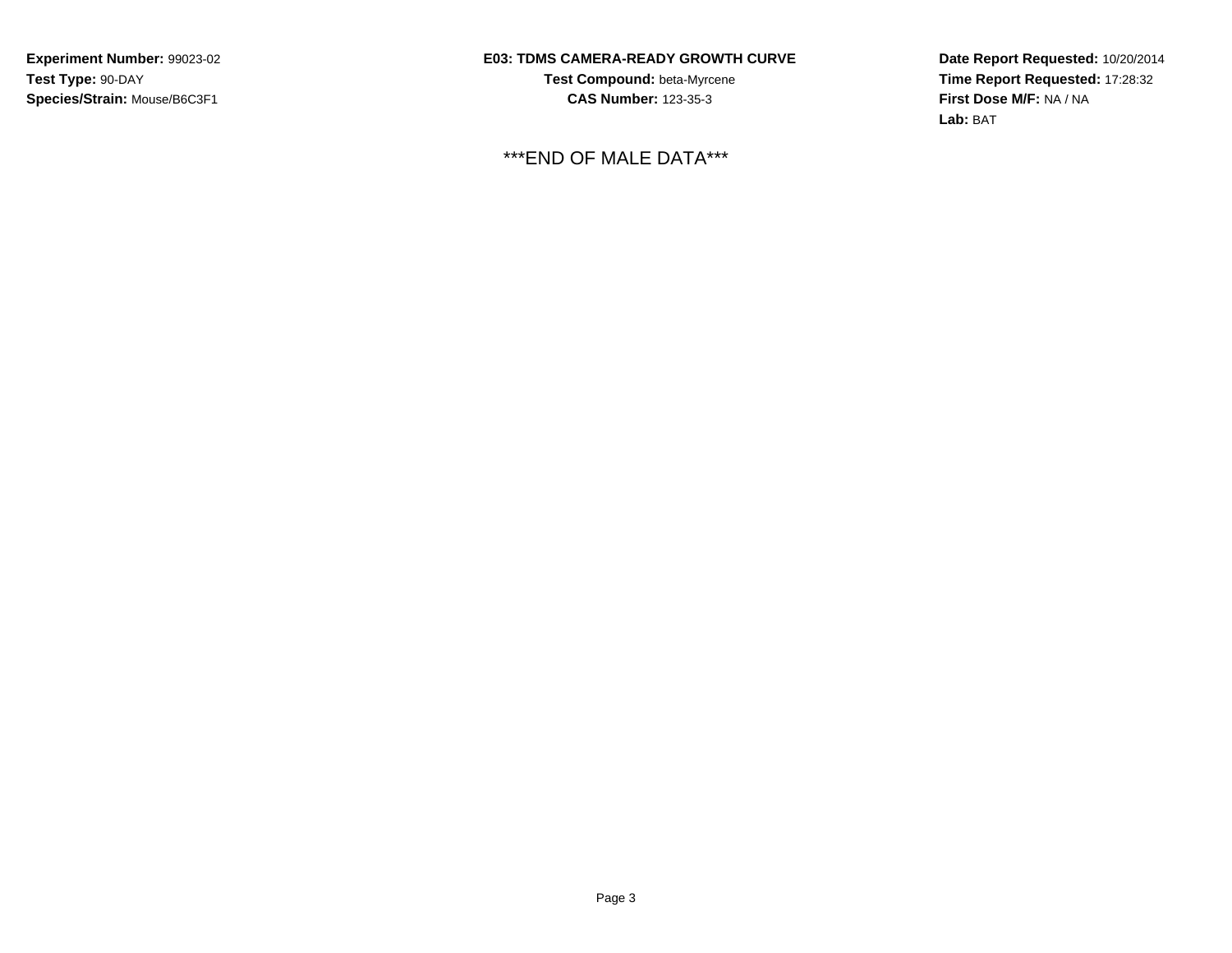## **E03: TDMS CAMERA-READY GROWTH CURVE**

**Test Compound:** beta-Myrcene**CAS Number:** 123-35-3

\*\*\*END OF MALE DATA\*\*\*

**Date Report Requested:** 10/20/2014 **Time Report Requested:** 17:28:32**First Dose M/F:** NA / NA**Lab:** BAT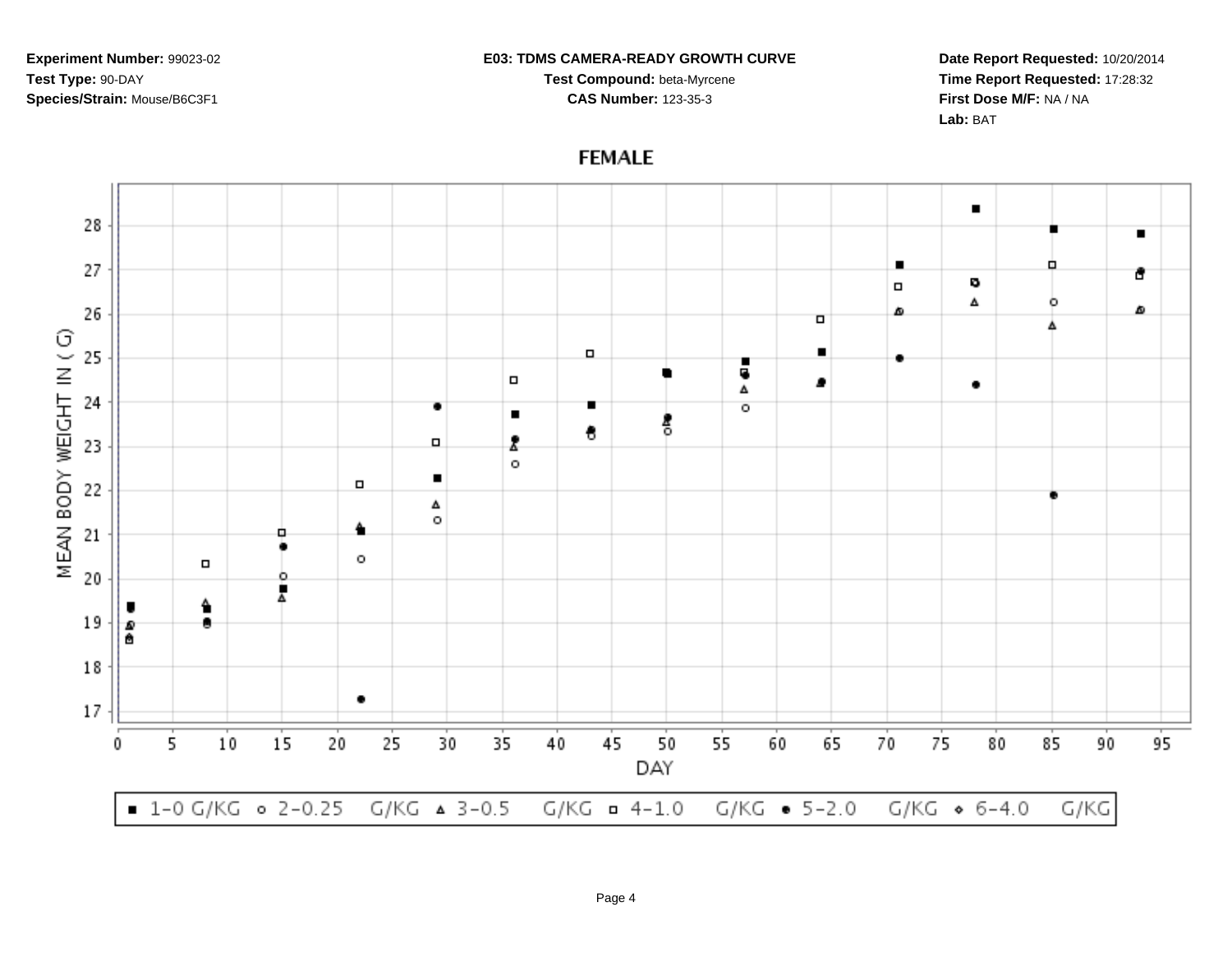#### **E03: TDMS CAMERA-READY GROWTH CURVE**

**Test Compound:** beta-Myrcene**CAS Number:** 123-35-3

**Date Report Requested:** 10/20/2014**Time Report Requested:** 17:28:32**First Dose M/F:** NA / NA**Lab:** BAT

 $\blacksquare$ 28  $\blacksquare$  $\blacksquare$ ٠ 27 đ o  $\Box$ Δ ۰ 26 ۵ Δ  $\Box$ MEAN BODY WEIGHT IN (G) 25  $\Box$  $\blacksquare$ ٠ 4  $\Box$ , ٠ Δ 24 ٠ т  $\circ$  $\blacksquare$ 흥 € Ž. 23  $\Box$  $\circ$  $\blacksquare$  $\Box$ 22 Δ  $\circ$ ≜ 21 ۰ ٠  $\circ$  $\Box$ 20 ۰ Å ٠ 19 ٠ D 會 18 ٠  $17$ 10 15 20 25 30 35 40 45 50 55 60 65 70 75 80 85 90 95 5 0 DAY  $\bullet$  1-0 G/KG  $\circ$  2-0.25 G/KG  $\land$  3-0.5  $G/KG = 4-1.0$  $G/KG - 5 - 2.0$  $G/KG \; \diamond \; 6-4.0$ G/KG

# **FEMALE**